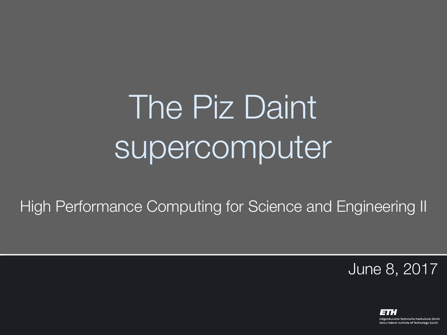# The Piz Daint supercomputer

High Performance Computing for Science and Engineering II

June 8, 2017

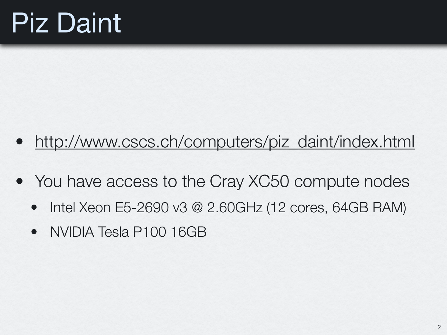#### Piz Daint

- [http://www.cscs.ch/computers/piz\\_daint/index.html](http://www.cscs.ch/computers/piz_daint/index.html)
- You have access to the Cray XC50 compute nodes
	- Intel Xeon E5-2690 v3 @ 2.60GHz (12 cores, 64GB RAM)
	- NVIDIA Tesla P100 16GB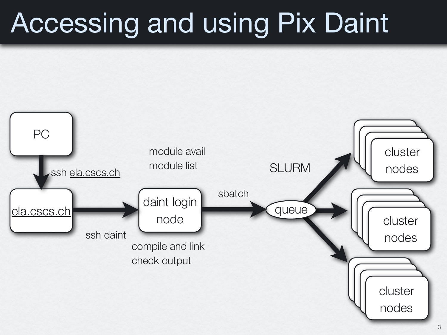#### Accessing and using Pix Daint

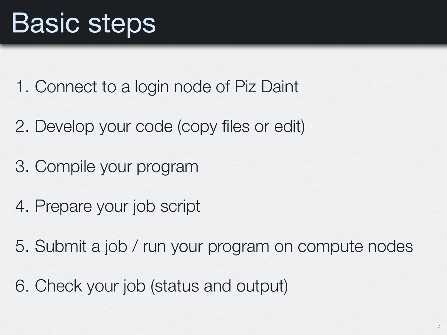- 1. Connect to a login node of Piz Daint
- 2. Develop your code (copy files or edit)
- 3. Compile your program
- 4. Prepare your job script
- 5. Submit a job / run your program on compute nodes
- 6. Check your job (status and output)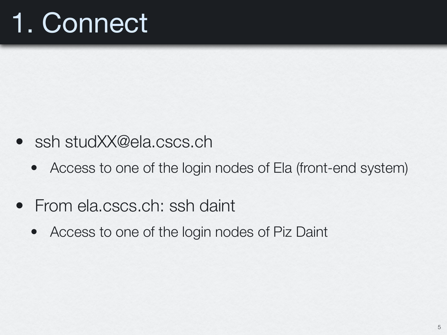## 1. Connect

- ssh studXX@ela.cscs.ch
	- Access to one of the login nodes of Ela (front-end system)
- From ela.cscs.ch: ssh daint
	- Access to one of the login nodes of Piz Daint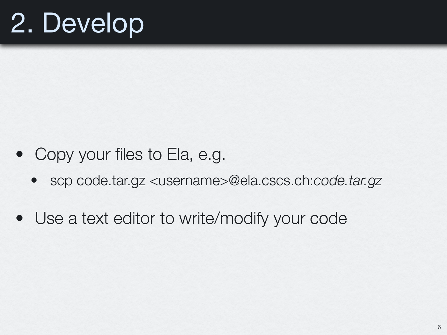### 2. Develop

- Copy your files to Ela, e.g.
	- scp code.tar.gz <username>@ela.cscs.ch:*code.tar.gz*
- Use a text editor to write/modify your code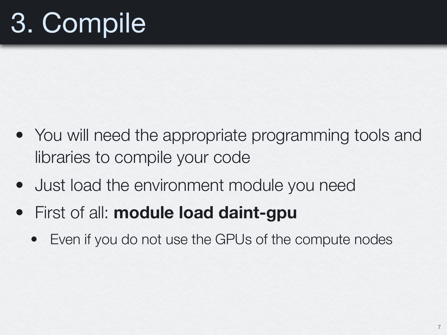# 3. Compile

- You will need the appropriate programming tools and libraries to compile your code
- Just load the environment module you need
- First of all: **module load daint-gpu**
	- Even if you do not use the GPUs of the compute nodes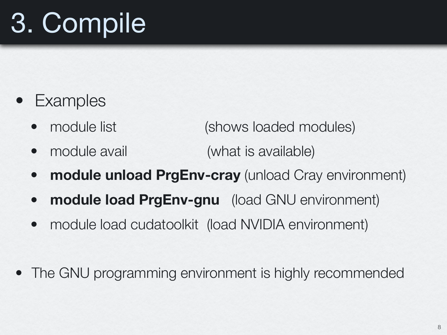# 3. Compile

- **Examples** 
	- module list (shows loaded modules)
	- module avail (what is available)
	- **module unload PrgEnv-cray** (unload Cray environment)
	- **module load PrgEnv-gnu** (load GNU environment)
	- module load cudatoolkit (load NVIDIA environment)
- The GNU programming environment is highly recommended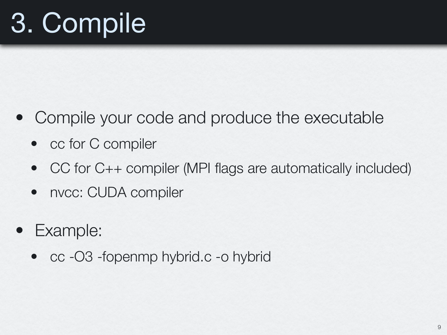# 3. Compile

- Compile your code and produce the executable
	- cc for C compiler
	- CC for C++ compiler (MPI flags are automatically included)
	- nvcc: CUDA compiler
- Example:
	- cc -O3 -fopenmp hybrid.c -o hybrid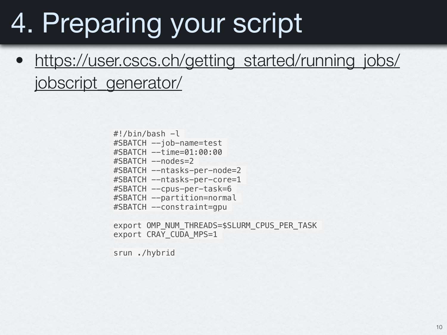#### 4. Preparing your script

[https://user.cscs.ch/getting\\_started/running\\_jobs/](https://user.cscs.ch/getting_started/running_jobs/jobscript_generator/) [jobscript\\_generator/](https://user.cscs.ch/getting_started/running_jobs/jobscript_generator/)

> $\#!/$ bin/bash  $-l$ #SBATCH --job-name=test #SBATCH --time=01:00:00 #SBATCH --nodes=2 #SBATCH --ntasks-per-node=2 #SBATCH --ntasks-per-core=1 #SBATCH --cpus-per-task=6 #SBATCH --partition=normal #SBATCH --constraint=gpu

export OMP NUM THREADS=\$SLURM CPUS PER TASK export CRAY\_CUDA\_MPS=1

srun ./hybrid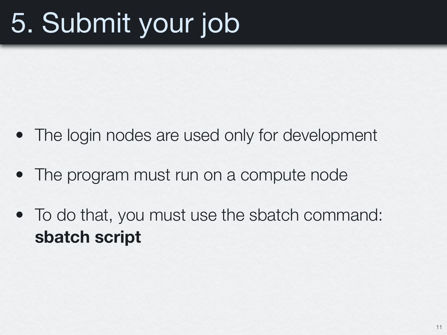## 5. Submit your job

- The login nodes are used only for development
- The program must run on a compute node
- To do that, you must use the sbatch command: **sbatch script**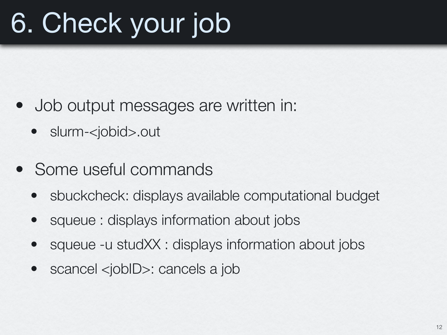## 6. Check your job

- Job output messages are written in:
	- slurm-<jobid>.out
- Some useful commands
	- sbuckcheck: displays available computational budget
	- squeue : displays information about jobs
	- squeue -u studXX : displays information about jobs
	- scancel <jobID>: cancels a job